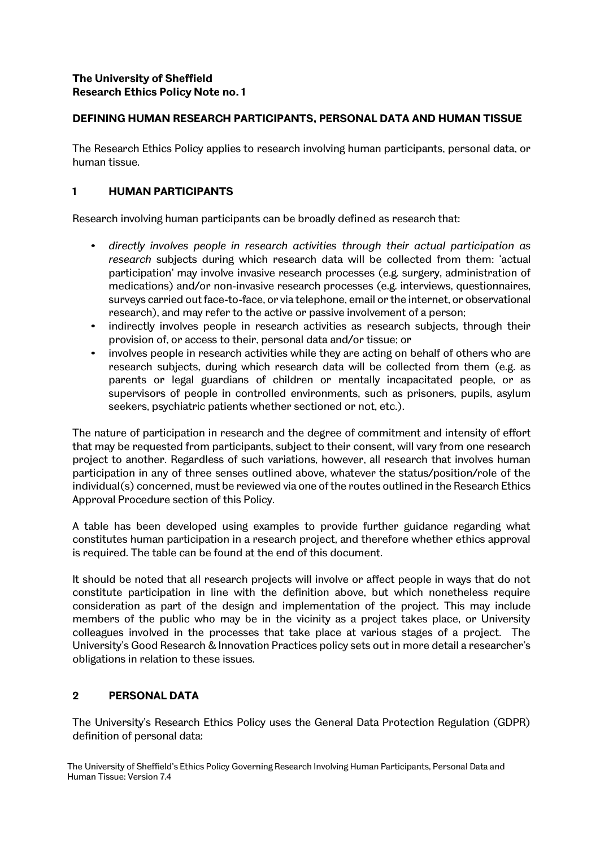## **The University of Sheffield Research Ethics Policy Note no. 1**

## **DEFINING HUMAN RESEARCH PARTICIPANTS, PERSONAL DATA AND HUMAN TISSUE**

The Research Ethics Policy applies to research involving human participants, personal data, or human tissue.

## **1 HUMAN PARTICIPANTS**

Research involving human participants can be broadly defined as research that:

- *directly involves people in research activities through their actual participation as research* subjects during which research data will be collected from them: 'actual participation' may involve invasive research processes (e.g. surgery, administration of medications) and/or non-invasive research processes (e.g. interviews, questionnaires, surveys carried out face-to-face, or via telephone, email or the internet, or observational research), and may refer to the active or passive involvement of a person;
- indirectly involves people in research activities as research subjects, through their provision of, or access to their, personal data and/or tissue; or
- involves people in research activities while they are acting on behalf of others who are research subjects, during which research data will be collected from them (e.g. as parents or legal guardians of children or mentally incapacitated people, or as supervisors of people in controlled environments, such as prisoners, pupils, asylum seekers, psychiatric patients whether sectioned or not, etc.).

The nature of participation in research and the degree of commitment and intensity of effort that may be requested from participants, subject to their consent, will vary from one research project to another. Regardless of such variations, however, all research that involves human participation in any of three senses outlined above, whatever the status/position/role of the individual(s) concerned, must be reviewed via one of the routes outlined in the Research Ethics Approval Procedure section of this Policy.

A table has been developed using examples to provide further guidance regarding what constitutes human participation in a research project, and therefore whether ethics approval is required. The table can be found at the end of this document.

It should be noted that all research projects will involve or affect people in ways that do not constitute participation in line with the definition above, but which nonetheless require consideration as part of the design and implementation of the project. This may include members of the public who may be in the vicinity as a project takes place, or University colleagues involved in the processes that take place at various stages of a project. The University's Good Research & Innovation Practices policy sets out in more detail a researcher's obligations in relation to these issues.

# **2 PERSONAL DATA**

The University's Research Ethics Policy uses the General Data Protection Regulation (GDPR) definition of personal data: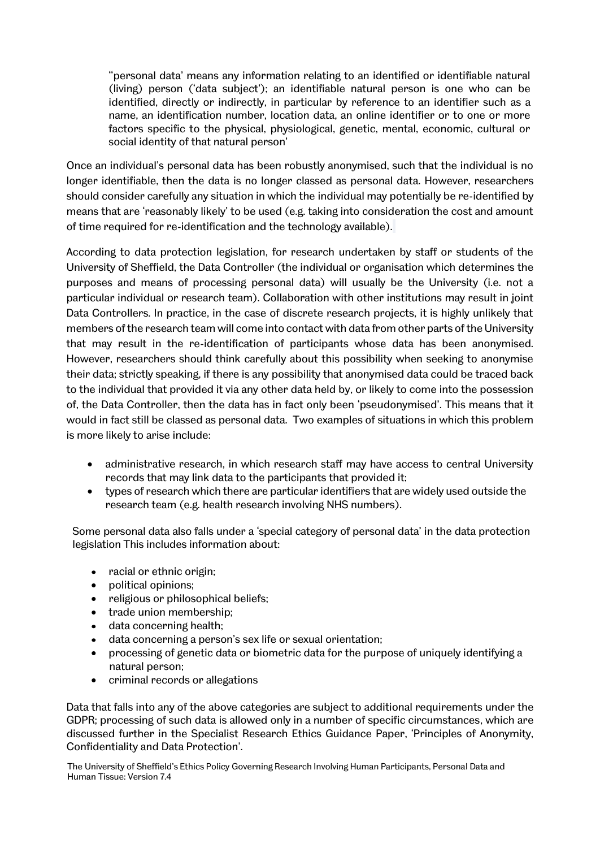''personal data' means any information relating to an identified or identifiable natural (living) person ('data subject'); an identifiable natural person is one who can be identified, directly or indirectly, in particular by reference to an identifier such as a name, an identification number, location data, an online identifier or to one or more factors specific to the physical, physiological, genetic, mental, economic, cultural or social identity of that natural person'

Once an individual's personal data has been robustly anonymised, such that the individual is no longer identifiable, then the data is no longer classed as personal data. However, researchers should consider carefully any situation in which the individual may potentially be re-identified by means that are 'reasonably likely' to be used (e.g. taking into consideration the cost and amount of time required for re-identification and the technology available).

According to data protection legislation, for research undertaken by staff or students of the University of Sheffield, the Data Controller (the individual or organisation which determines the purposes and means of processing personal data) will usually be the University (i.e. not a particular individual or research team). Collaboration with other institutions may result in joint Data Controllers. In practice, in the case of discrete research projects, it is highly unlikely that members of the research team will come into contact with data from other parts of the University that may result in the re-identification of participants whose data has been anonymised. However, researchers should think carefully about this possibility when seeking to anonymise their data; strictly speaking, if there is any possibility that anonymised data could be traced back to the individual that provided it via any other data held by, or likely to come into the possession of, the Data Controller, then the data has in fact only been 'pseudonymised'. This means that it would in fact still be classed as personal data. Two examples of situations in which this problem is more likely to arise include:

- administrative research, in which research staff may have access to central University records that may link data to the participants that provided it;
- types of research which there are particular identifiers that are widely used outside the research team (e.g. health research involving NHS numbers).

Some personal data also falls under a 'special category of personal data' in the data protection legislation This includes information about:

- racial or ethnic origin;
- political opinions;
- religious or philosophical beliefs;
- trade union membership;
- data concerning health;
- data concerning a person's sex life or sexual orientation;
- processing of genetic data or biometric data for the purpose of uniquely identifying a natural person;
- criminal records or allegations

Data that falls into any of the above categories are subject to additional requirements under the GDPR; processing of such data is allowed only in a number of specific circumstances, which are discussed further in the Specialist Research Ethics Guidance Paper, 'Principles of Anonymity, Confidentiality and Data Protection'.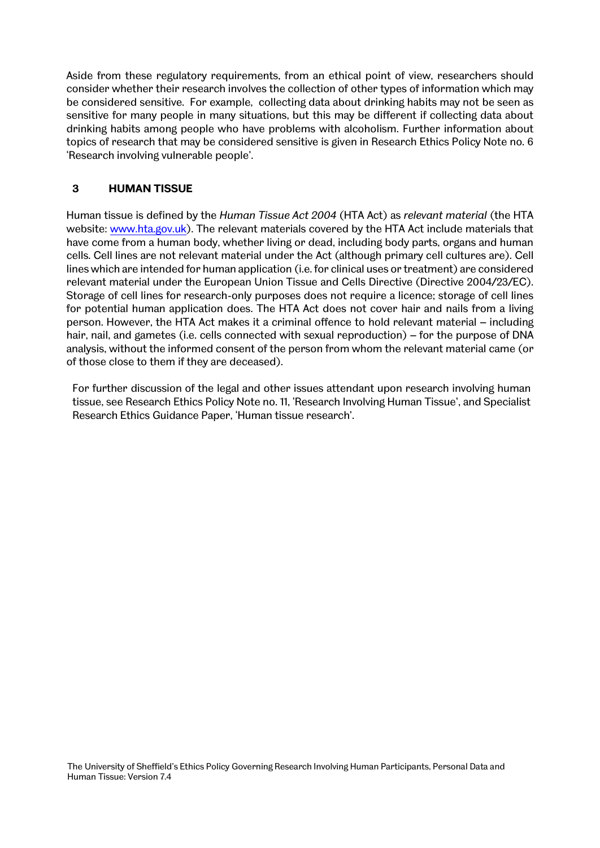Aside from these regulatory requirements, from an ethical point of view, researchers should consider whether their research involves the collection of other types of information which may be considered sensitive. For example, collecting data about drinking habits may not be seen as sensitive for many people in many situations, but this may be different if collecting data about drinking habits among people who have problems with alcoholism. Further information about topics of research that may be considered sensitive is given in Research Ethics Policy Note no. 6 'Research involving vulnerable people'.

#### **3 HUMAN TISSUE**

Human tissue is defined by the *Human Tissue Act 2004* (HTA Act) as *relevant material* (the HTA website: [www.hta.gov.uk\)](http://www.hta.gov.uk/). The relevant materials covered by the HTA Act include materials that have come from a human body, whether living or dead, including body parts, organs and human cells. Cell lines are not relevant material under the Act (although primary cell cultures are). Cell lines which are intended for human application (i.e. for clinical uses or treatment) are considered relevant material under the European Union Tissue and Cells Directive (Directive 2004/23/EC). Storage of cell lines for research-only purposes does not require a licence; storage of cell lines for potential human application does. The HTA Act does not cover hair and nails from a living person. However, the HTA Act makes it a criminal offence to hold relevant material – including hair, nail, and gametes (i.e. cells connected with sexual reproduction) – for the purpose of DNA analysis, without the informed consent of the person from whom the relevant material came (or of those close to them if they are deceased).

For further discussion of the legal and other issues attendant upon research involving human tissue, see Research Ethics Policy Note no. 11, 'Research Involving Human Tissue', and Specialist Research Ethics Guidance Paper, 'Human tissue research'.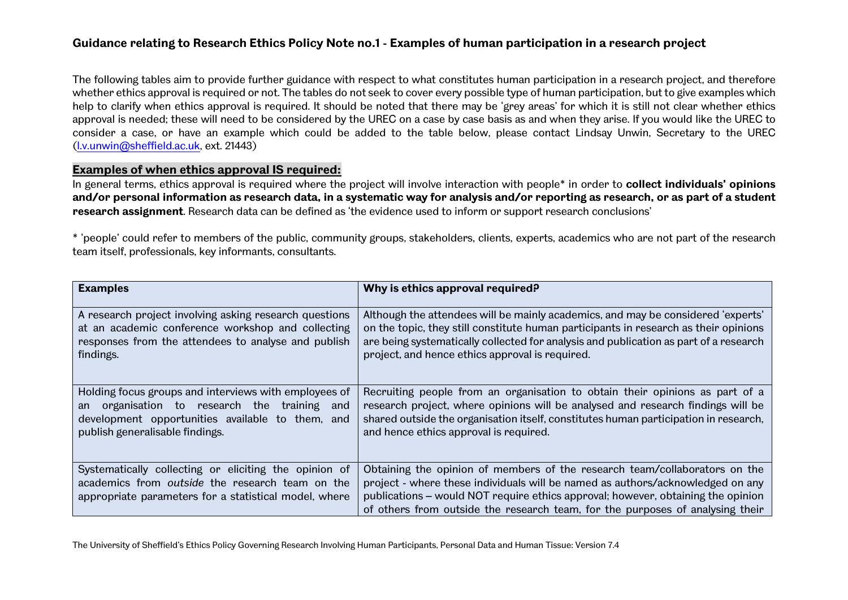# **Guidance relating to Research Ethics Policy Note no.1 - Examples of human participation in a research project**

The following tables aim to provide further guidance with respect to what constitutes human participation in a research project, and therefore whether ethics approval is required or not. The tables do not seek to cover every possible type of human participation, but to give examples which help to clarify when ethics approval is required. It should be noted that there may be 'grey areas' for which it is still not clear whether ethics approval is needed; these will need to be considered by the UREC on a case by case basis as and when they arise. If you would like the UREC to consider a case, or have an example which could be added to the table below, please contact Lindsay Unwin, Secretary to the UREC [\(l.v.unwin@sheffield.ac.uk,](mailto:l.v.unwin@sheffield.ac.uk) ext. 21443)

#### **Examples of when ethics approval IS required:**

In general terms, ethics approval is required where the project will involve interaction with people\* in order to **collect individuals' opinions and/or personal information as research data, in a systematic way for analysis and/or reporting as research, or as part of a student research assignment**. Research data can be defined as 'the evidence used to inform or support research conclusions'

\* 'people' could refer to members of the public, community groups, stakeholders, clients, experts, academics who are not part of the research team itself, professionals, key informants, consultants.

| <b>Examples</b>                                                                                                                                                                                 | Why is ethics approval required?                                                                                                                                                                                                                                                                                                  |
|-------------------------------------------------------------------------------------------------------------------------------------------------------------------------------------------------|-----------------------------------------------------------------------------------------------------------------------------------------------------------------------------------------------------------------------------------------------------------------------------------------------------------------------------------|
| A research project involving asking research questions<br>at an academic conference workshop and collecting<br>responses from the attendees to analyse and publish<br>findings.                 | Although the attendees will be mainly academics, and may be considered 'experts'<br>on the topic, they still constitute human participants in research as their opinions<br>are being systematically collected for analysis and publication as part of a research<br>project, and hence ethics approval is required.              |
| Holding focus groups and interviews with employees of<br>organisation to research the training and<br>an<br>development opportunities available to them, and<br>publish generalisable findings. | Recruiting people from an organisation to obtain their opinions as part of a<br>research project, where opinions will be analysed and research findings will be<br>shared outside the organisation itself, constitutes human participation in research,<br>and hence ethics approval is required.                                 |
| Systematically collecting or eliciting the opinion of<br>academics from outside the research team on the<br>appropriate parameters for a statistical model, where                               | Obtaining the opinion of members of the research team/collaborators on the<br>project - where these individuals will be named as authors/acknowledged on any<br>publications – would NOT require ethics approval; however, obtaining the opinion<br>of others from outside the research team, for the purposes of analysing their |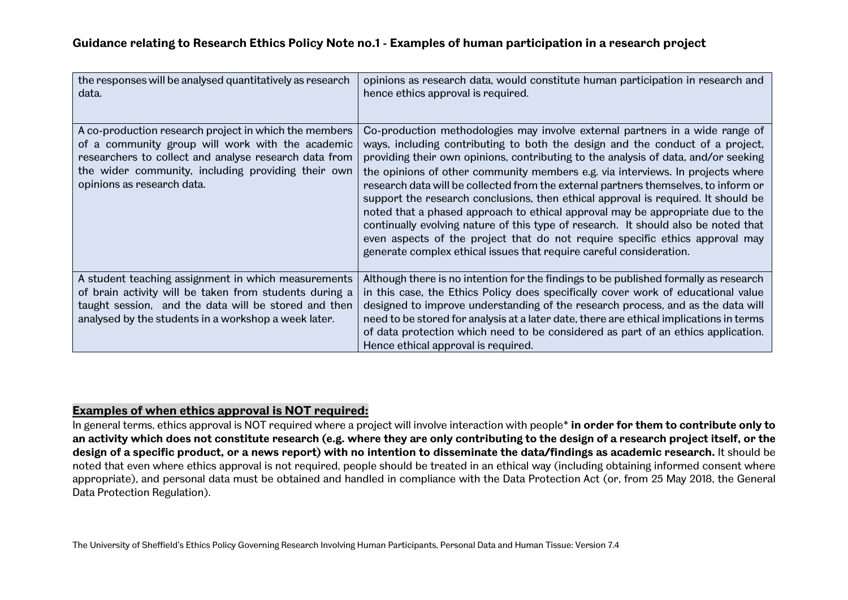| the responses will be analysed quantitatively as research<br>data.                                                                                                                                                                                     | opinions as research data, would constitute human participation in research and<br>hence ethics approval is required.                                                                                                                                                                                                                                                                                                                                                                                                                                                                                                                                                                                                                                                                                                                            |
|--------------------------------------------------------------------------------------------------------------------------------------------------------------------------------------------------------------------------------------------------------|--------------------------------------------------------------------------------------------------------------------------------------------------------------------------------------------------------------------------------------------------------------------------------------------------------------------------------------------------------------------------------------------------------------------------------------------------------------------------------------------------------------------------------------------------------------------------------------------------------------------------------------------------------------------------------------------------------------------------------------------------------------------------------------------------------------------------------------------------|
| A co-production research project in which the members<br>of a community group will work with the academic<br>researchers to collect and analyse research data from<br>the wider community, including providing their own<br>opinions as research data. | Co-production methodologies may involve external partners in a wide range of<br>ways, including contributing to both the design and the conduct of a project,<br>providing their own opinions, contributing to the analysis of data, and/or seeking<br>the opinions of other community members e.g. via interviews. In projects where<br>research data will be collected from the external partners themselves, to inform or<br>support the research conclusions, then ethical approval is required. It should be<br>noted that a phased approach to ethical approval may be appropriate due to the<br>continually evolving nature of this type of research. It should also be noted that<br>even aspects of the project that do not require specific ethics approval may<br>generate complex ethical issues that require careful consideration. |
| A student teaching assignment in which measurements<br>of brain activity will be taken from students during a<br>taught session, and the data will be stored and then<br>analysed by the students in a workshop a week later.                          | Although there is no intention for the findings to be published formally as research<br>in this case, the Ethics Policy does specifically cover work of educational value<br>designed to improve understanding of the research process, and as the data will<br>need to be stored for analysis at a later date, there are ethical implications in terms<br>of data protection which need to be considered as part of an ethics application.<br>Hence ethical approval is required.                                                                                                                                                                                                                                                                                                                                                               |

# **Examples of when ethics approval is NOT required:**

In general terms, ethics approval is NOT required where a project will involve interaction with people\* **in order for them to contribute only to an activity which does not constitute research (e.g. where they are only contributing to the design of a research project itself, or the design of a specific product, or a news report) with no intention to disseminate the data/findings as academic research.** It should be noted that even where ethics approval is not required, people should be treated in an ethical way (including obtaining informed consent where appropriate), and personal data must be obtained and handled in compliance with the Data Protection Act (or, from 25 May 2018, the General Data Protection Regulation).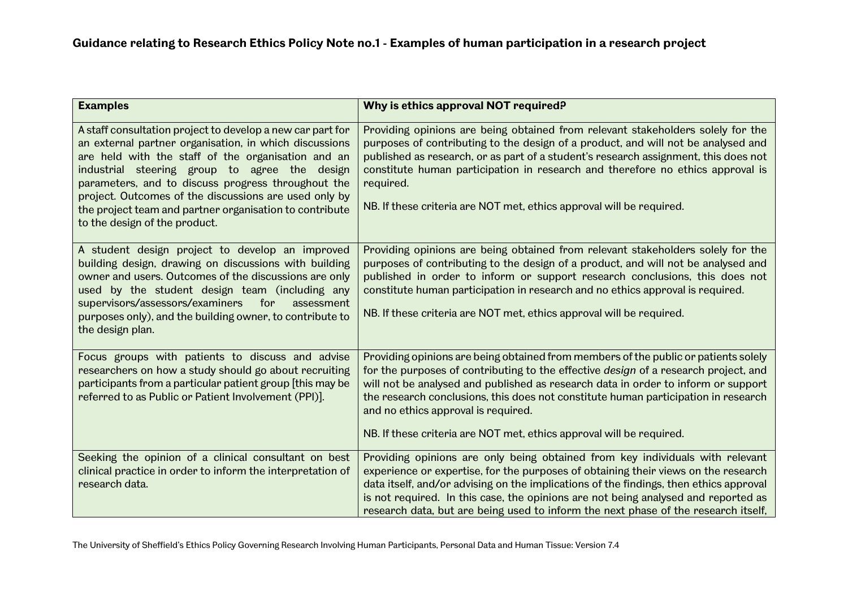| <b>Examples</b>                                                                                                                                                                                                                                                                                                                                                                                                                        | Why is ethics approval NOT required?                                                                                                                                                                                                                                                                                                                                                                                                                                 |
|----------------------------------------------------------------------------------------------------------------------------------------------------------------------------------------------------------------------------------------------------------------------------------------------------------------------------------------------------------------------------------------------------------------------------------------|----------------------------------------------------------------------------------------------------------------------------------------------------------------------------------------------------------------------------------------------------------------------------------------------------------------------------------------------------------------------------------------------------------------------------------------------------------------------|
| A staff consultation project to develop a new car part for<br>an external partner organisation, in which discussions<br>are held with the staff of the organisation and an<br>industrial steering group to agree the design<br>parameters, and to discuss progress throughout the<br>project. Outcomes of the discussions are used only by<br>the project team and partner organisation to contribute<br>to the design of the product. | Providing opinions are being obtained from relevant stakeholders solely for the<br>purposes of contributing to the design of a product, and will not be analysed and<br>published as research, or as part of a student's research assignment, this does not<br>constitute human participation in research and therefore no ethics approval is<br>required.<br>NB. If these criteria are NOT met, ethics approval will be required.                                   |
| A student design project to develop an improved<br>building design, drawing on discussions with building<br>owner and users. Outcomes of the discussions are only<br>used by the student design team (including any<br>supervisors/assessors/examiners for<br>assessment<br>purposes only), and the building owner, to contribute to<br>the design plan.                                                                               | Providing opinions are being obtained from relevant stakeholders solely for the<br>purposes of contributing to the design of a product, and will not be analysed and<br>published in order to inform or support research conclusions, this does not<br>constitute human participation in research and no ethics approval is required.<br>NB. If these criteria are NOT met, ethics approval will be required.                                                        |
| Focus groups with patients to discuss and advise<br>researchers on how a study should go about recruiting<br>participants from a particular patient group [this may be<br>referred to as Public or Patient Involvement (PPI)].                                                                                                                                                                                                         | Providing opinions are being obtained from members of the public or patients solely<br>for the purposes of contributing to the effective design of a research project, and<br>will not be analysed and published as research data in order to inform or support<br>the research conclusions, this does not constitute human participation in research<br>and no ethics approval is required.<br>NB. If these criteria are NOT met, ethics approval will be required. |
| Seeking the opinion of a clinical consultant on best<br>clinical practice in order to inform the interpretation of<br>research data.                                                                                                                                                                                                                                                                                                   | Providing opinions are only being obtained from key individuals with relevant<br>experience or expertise, for the purposes of obtaining their views on the research<br>data itself, and/or advising on the implications of the findings, then ethics approval<br>is not required. In this case, the opinions are not being analysed and reported as<br>research data, but are being used to inform the next phase of the research itself,                            |